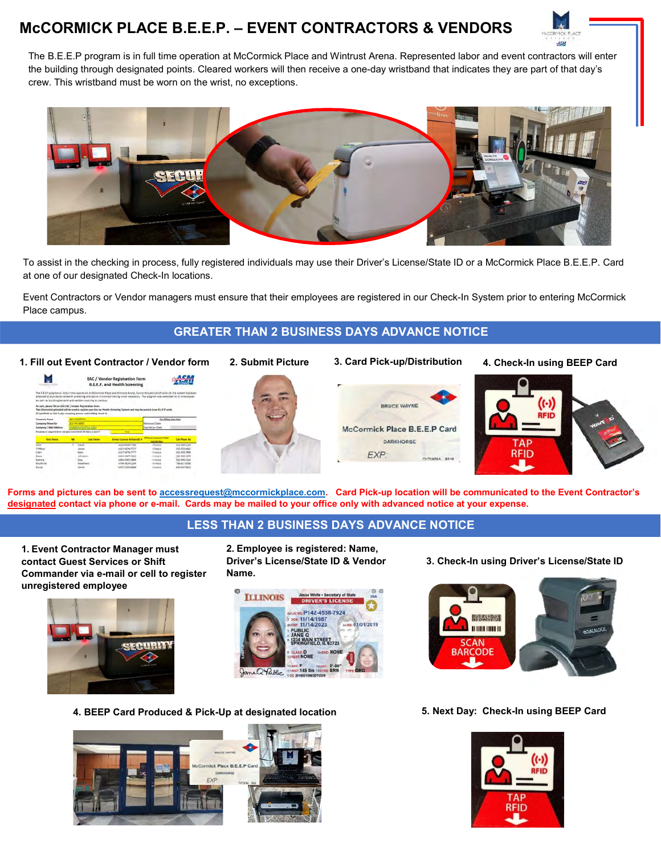# McCORMICK PLACE B.E.E.P. – EVENT CONTRACTORS & VENDORS



The B.E.E.P program is in full time operation at McCormick Place and Wintrust Arena. Represented labor and event contractors will enter the building through designated points. Cleared workers will then receive a one-day wristband that indicates they are part of that day's crew. This wristband must be worn on the wrist, no exceptions.



To assist in the checking in process, fully registered individuals may use their Driver's License/State ID or a McCormick Place B.E.E.P. Card at one of our designated Check-In locations.

Event Contractors or Vendor managers must ensure that their employees are registered in our Check-In System prior to entering McCormick Place campus.

#### GREATER THAN 2 BUSINESS DAYS ADVANCE NOTICE

1. Fill out Event Contractor / Vendor form

| as well as building tenants and ventiles working on certain                                                                             |                                           |                    | <b>EAC / Vendor Registration Form</b><br>B.E.E.P. and Health Screening<br>The E.E.S.P program is in full time coverant at Millormini Flack and Wilmon Avena. During this period of Could-15. the system has been<br>adapted to playeds for a flearth screening and assist in contract that my when microsovy. The program was ranknowly to all employees. |                               | ACAA                                                                                                                          |
|-----------------------------------------------------------------------------------------------------------------------------------------|-------------------------------------------|--------------------|-----------------------------------------------------------------------------------------------------------------------------------------------------------------------------------------------------------------------------------------------------------------------------------------------------------------------------------------------------------|-------------------------------|-------------------------------------------------------------------------------------------------------------------------------|
| As such, passes fit out this (AC / ventus Registration form.)<br>(if qualified) to alde in the toregoing protest and building check in. |                                           |                    | The information principled will be used to register you into our Health Sintensity Vastum and may be used to come E.E.E.P cardic                                                                                                                                                                                                                          |                               |                                                                                                                               |
| <b>AACUSGATICS</b><br>Company Name                                                                                                      |                                           |                    |                                                                                                                                                                                                                                                                                                                                                           | <b>Rey Office Line Civily</b> |                                                                                                                               |
| Company Phone Ille                                                                                                                      | 113/293-0000<br><b>HARANTSON THE STAR</b> |                    |                                                                                                                                                                                                                                                                                                                                                           | <b>Reviewal Date</b>          |                                                                                                                               |
|                                                                                                                                         |                                           |                    |                                                                                                                                                                                                                                                                                                                                                           |                               |                                                                                                                               |
| Company E-Mail Address                                                                                                                  |                                           |                    |                                                                                                                                                                                                                                                                                                                                                           | <b>Lucintation Date</b>       |                                                                                                                               |
| Employees expected in clarges more than 10 days a year?                                                                                 |                                           |                    | Tes.                                                                                                                                                                                                                                                                                                                                                      |                               |                                                                                                                               |
| <b>First listens</b>                                                                                                                    | u                                         | <b>Land Alaman</b> | Drivers License 4/5hane (D.A.                                                                                                                                                                                                                                                                                                                             | Different License / Many      |                                                                                                                               |
| <b>Same</b>                                                                                                                             |                                           | <b>ALLES</b>       | AS25-MIS6-7709                                                                                                                                                                                                                                                                                                                                            | <b>ESTIMATE</b>               |                                                                                                                               |
| Embany                                                                                                                                  |                                           | <b>Stoney</b>      | 8523-9679-7777                                                                                                                                                                                                                                                                                                                                            | <b>Ellington</b>              |                                                                                                                               |
| CMV                                                                                                                                     |                                           | Kevid              | A123-5476-2777                                                                                                                                                                                                                                                                                                                                            | <b>Hillmook</b>               |                                                                                                                               |
| <b>Station</b>                                                                                                                          |                                           | ISPANISH           | A564-4567-5312                                                                                                                                                                                                                                                                                                                                            | <b>LimmarA</b>                |                                                                                                                               |
| Sandra                                                                                                                                  |                                           | Dev -              | AML-4567-5999                                                                                                                                                                                                                                                                                                                                             | <b>Triandon</b>               |                                                                                                                               |
| <b>Kilchelle</b>                                                                                                                        |                                           | Westhers           | 6708-5816-1254                                                                                                                                                                                                                                                                                                                                            | diment.                       | <b>Cast Phone No:</b><br>112-555-1234<br>153-558-4867<br><b>AL2-MAIL-7890</b><br>122-535-5476<br>352-005 E254<br>708-817-0000 |



2. Submit Picture 3. Card Pick-up/Distribution



4. Check-In using BEEP Card



Forms and pictures can be sent to accessrequest@mccormickplace.com. Card Pick-up location will be communicated to the Event Contractor's designated contact via phone or e-mail. Cards may be mailed to your office only with advanced notice at your expense.

### LESS THAN 2 BUSINESS DAYS ADVANCE NOTICE

1. Event Contractor Manager must contact Guest Services or Shift Commander via e-mail or cell to register unregistered employee



2. Employee is registered: Name, Driver's License/State ID & Vendor Name.



3. Check-In using Driver's License/State ID



4. BEEP Card Produced & Pick-Up at designated location 5. Next Day: Check-In using BEEP Card